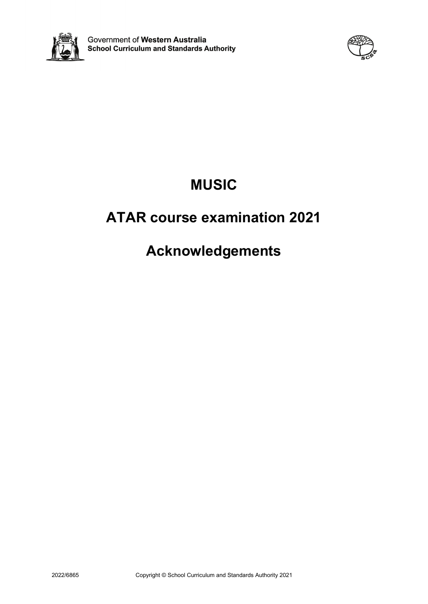



# **MUSIC**

# **ATAR course examination 2021**

# **Acknowledgements**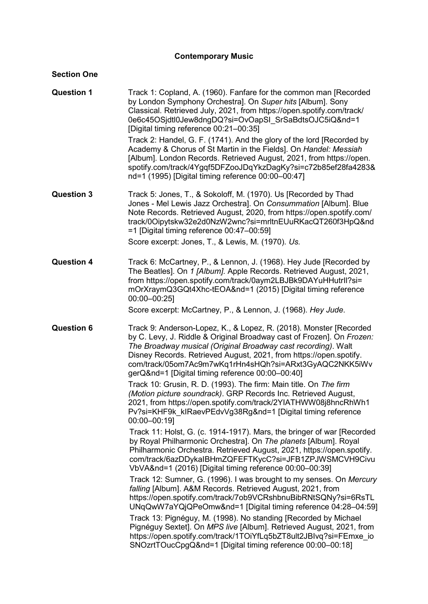# **Contemporary Music**

### **Section One**

| <b>Question 1</b> | Track 1: Copland, A. (1960). Fanfare for the common man [Recorded<br>by London Symphony Orchestra]. On Super hits [Album]. Sony<br>Classical. Retrieved July, 2021, from https://open.spotify.com/track/<br>0e6c45OSjdtl0Jew8dngDQ?si=OvOapSI SrSaBdtsOJC5iQ&nd=1<br>[Digital timing reference 00:21-00:35]                                                                                                                                                           |
|-------------------|-----------------------------------------------------------------------------------------------------------------------------------------------------------------------------------------------------------------------------------------------------------------------------------------------------------------------------------------------------------------------------------------------------------------------------------------------------------------------|
|                   | Track 2: Handel, G. F. (1741). And the glory of the lord [Recorded by<br>Academy & Chorus of St Martin in the Fields]. On Handel: Messiah<br>[Album]. London Records. Retrieved August, 2021, from https://open.<br>spotify.com/track/4Ygqf5DFZooJDqYkzDagKy?si=c72b85ef28fa4283&<br>nd=1 (1995) [Digital timing reference 00:00-00:47]                                                                                                                               |
| <b>Question 3</b> | Track 5: Jones, T., & Sokoloff, M. (1970). Us [Recorded by Thad<br>Jones - Mel Lewis Jazz Orchestra]. On Consummation [Album]. Blue<br>Note Records. Retrieved August, 2020, from https://open.spotify.com/<br>track/0Oipytskw32e2d0NzW2wnc?si=mrltnEUuRKacQT260f3HpQ&nd<br>$=$ 1 [Digital timing reference 00:47-00:59]                                                                                                                                              |
|                   | Score excerpt: Jones, T., & Lewis, M. (1970). Us.                                                                                                                                                                                                                                                                                                                                                                                                                     |
| <b>Question 4</b> | Track 6: McCartney, P., & Lennon, J. (1968). Hey Jude [Recorded by<br>The Beatles]. On 1 [Album]. Apple Records. Retrieved August, 2021,<br>from https://open.spotify.com/track/0aym2LBJBk9DAYuHHutrll?si=<br>mOrXraymQ3GQt4Xhc-tEOA&nd=1 (2015) [Digital timing reference<br>$00:00 - 00:25$                                                                                                                                                                         |
|                   | Score excerpt: McCartney, P., & Lennon, J. (1968). Hey Jude.                                                                                                                                                                                                                                                                                                                                                                                                          |
|                   |                                                                                                                                                                                                                                                                                                                                                                                                                                                                       |
| <b>Question 6</b> | Track 9: Anderson-Lopez, K., & Lopez, R. (2018). Monster [Recorded<br>by C. Levy, J. Riddle & Original Broadway cast of Frozen]. On Frozen:<br>The Broadway musical (Original Broadway cast recording). Walt<br>Disney Records. Retrieved August, 2021, from https://open.spotify.<br>com/track/05om7Ac9m7wKq1rHn4sHQh?si=ARxt3GyAQC2NKK5iWv<br>gerQ&nd=1 [Digital timing reference 00:00-00:40]<br>Track 10: Grusin, R. D. (1993). The firm: Main title. On The firm |
|                   | (Motion picture soundrack). GRP Records Inc. Retrieved August,<br>2021, from https://open.spotify.com/track/2YIATHWW08j8hncRhWh1<br>Pv?si=KHF9k klRaevPEdvVg38Rg&nd=1 [Digital timing reference<br>00:00-00:191                                                                                                                                                                                                                                                       |
|                   | Track 11: Holst, G. (c. 1914-1917). Mars, the bringer of war [Recorded<br>by Royal Philharmonic Orchestra]. On The planets [Album]. Royal<br>Philharmonic Orchestra. Retrieved August, 2021, https://open.spotify.<br>com/track/6azDDykaIBHmZQFEFTKycC?si=JFB1ZPJWSMCVH9Civu<br>VbVA&nd=1 (2016) [Digital timing reference 00:00-00:39]                                                                                                                               |
|                   | Track 12: Sumner, G. (1996). I was brought to my senses. On Mercury<br>falling [Album]. A&M Records. Retrieved August, 2021, from<br>https://open.spotify.com/track/7ob9VCRshbnuBibRNtSQNy?si=6RsTL<br>UNqQwW7aYQjQPeOmw&nd=1 [Digital timing reference 04:28-04:59]<br>Track 13: Pignéguy, M. (1998). No standing [Recorded by Michael                                                                                                                               |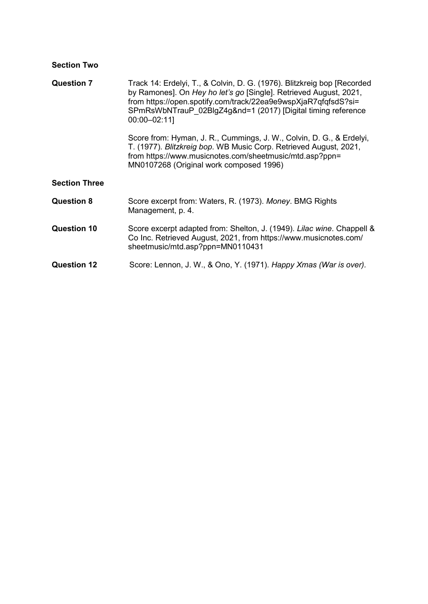# **Section Two**

| <b>Question 7</b>    | Track 14: Erdelyi, T., & Colvin, D. G. (1976). Blitzkreig bop [Recorded<br>by Ramones]. On Hey ho let's go [Single]. Retrieved August, 2021,<br>from https://open.spotify.com/track/22ea9e9wspXjaR7qfqfsdS?si=<br>SPmRsWbNTrauP 02BlgZ4g&nd=1 (2017) [Digital timing reference<br>00:00-02:11] |
|----------------------|------------------------------------------------------------------------------------------------------------------------------------------------------------------------------------------------------------------------------------------------------------------------------------------------|
|                      | Score from: Hyman, J. R., Cummings, J. W., Colvin, D. G., & Erdelyi,<br>T. (1977). Blitzkreig bop. WB Music Corp. Retrieved August, 2021,<br>from https://www.musicnotes.com/sheetmusic/mtd.asp?ppn=<br>MN0107268 (Original work composed 1996)                                                |
| <b>Section Three</b> |                                                                                                                                                                                                                                                                                                |
| <b>Question 8</b>    | Score excerpt from: Waters, R. (1973). Money. BMG Rights<br>Management, p. 4.                                                                                                                                                                                                                  |
| <b>Question 10</b>   | Score excerpt adapted from: Shelton, J. (1949). Lilac wine. Chappell &<br>Co Inc. Retrieved August, 2021, from https://www.musicnotes.com/<br>sheetmusic/mtd.asp?ppn=MN0110431                                                                                                                 |
| <b>Question 12</b>   | Score: Lennon, J. W., & Ono, Y. (1971). Happy Xmas (War is over).                                                                                                                                                                                                                              |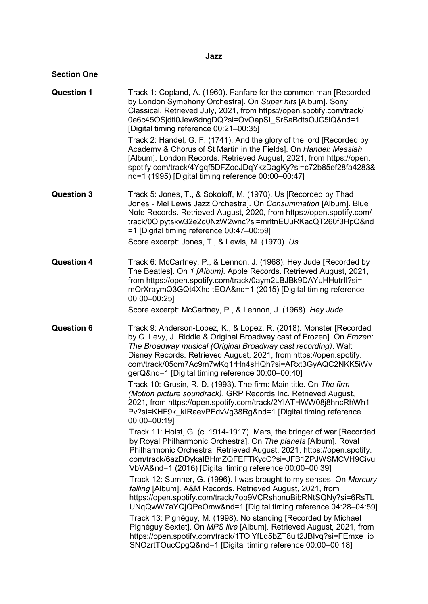#### **Jazz**

#### **Section One**

**Question 1** Track 1: Copland, A. (1960). Fanfare for the common man [Recorded by London Symphony Orchestra]. On *Super hits* [Album]. Sony Classical. Retrieved July, 2021, from [https://open.spotify.com/track/](https://open.spotify.com/track/0e6c45OSjdtl0Jew8dngDQ?si=OvOapSI_SrSaBdtsOJC5iQ&nd=1) [0e6c45OSjdtl0Jew8dngDQ?si=OvOapSI\\_SrSaBdtsOJC5iQ&nd=1](https://open.spotify.com/track/0e6c45OSjdtl0Jew8dngDQ?si=OvOapSI_SrSaBdtsOJC5iQ&nd=1) [Digital timing reference 00:21–00:35] Track 2: Handel, G. F. (1741). And the glory of the lord [Recorded by Academy & Chorus of St Martin in the Fields]. On *Handel: Messiah*  [Album]. London Records. Retrieved August, 2021, from [https://open.](https://open.spotify.com/track/4Ygqf5DFZooJDqYkzDagKy?si=c72b85ef28fa4283&nd=1) [spotify.com/track/4Ygqf5DFZooJDqYkzDagKy?si=c72b85ef28fa4283&](https://open.spotify.com/track/4Ygqf5DFZooJDqYkzDagKy?si=c72b85ef28fa4283&nd=1) [nd=1](https://open.spotify.com/track/4Ygqf5DFZooJDqYkzDagKy?si=c72b85ef28fa4283&nd=1) (1995) [Digital timing reference 00:00–00:47] **Question 3** Track 5: Jones, T., & Sokoloff, M. (1970). Us [Recorded by Thad Jones - Mel Lewis Jazz Orchestra]. On *Consummation* [Album]. Blue Note Records. Retrieved August, 2020, from [https://open.spotify.com/](https://open.spotify.com/track/0Oipytskw32e2d0NzW2wnc?si=mrltnEUuRKacQT260f3HpQ&nd=1) [track/0Oipytskw32e2d0NzW2wnc?si=mrltnEUuRKacQT260f3HpQ&nd](https://open.spotify.com/track/0Oipytskw32e2d0NzW2wnc?si=mrltnEUuRKacQT260f3HpQ&nd=1) [=1](https://open.spotify.com/track/0Oipytskw32e2d0NzW2wnc?si=mrltnEUuRKacQT260f3HpQ&nd=1) [Digital timing reference 00:47–00:59] Score excerpt: Jones, T., & Lewis, M. (1970). *Us.* **Question 4** Track 6: McCartney, P., & Lennon, J. (1968). Hey Jude [Recorded by The Beatles]. On *1 [Album]*. Apple Records. Retrieved August, 2021, from [https://open.spotify.com/track/0aym2LBJBk9DAYuHHutrIl?si=](https://open.spotify.com/track/0aym2LBJBk9DAYuHHutrIl?si=mOrXraymQ3GQt4Xhc-tEOA&nd=1) [mOrXraymQ3GQt4Xhc-tEOA&nd=1](https://open.spotify.com/track/0aym2LBJBk9DAYuHHutrIl?si=mOrXraymQ3GQt4Xhc-tEOA&nd=1) (2015) [Digital timing reference 00:00–00:25] Score excerpt: McCartney, P., & Lennon, J. (1968). *Hey Jude*. **Question 6** Track 9: Anderson-Lopez, K., & Lopez, R. (2018). Monster [Recorded by C. Levy, J. Riddle & Original Broadway cast of Frozen]. On *Frozen: The Broadway musical (Original Broadway cast recording)*. Walt Disney Records. Retrieved August, 2021, from [https://open.spotify.](https://open.spotify.com/track/05om7Ac9m7wKq1rHn4sHQh?si=ARxt3GyAQC2NKK5iWvgerQ&nd=1) [com/track/05om7Ac9m7wKq1rHn4sHQh?si=ARxt3GyAQC2NKK5iWv](https://open.spotify.com/track/05om7Ac9m7wKq1rHn4sHQh?si=ARxt3GyAQC2NKK5iWvgerQ&nd=1) [gerQ&nd=1](https://open.spotify.com/track/05om7Ac9m7wKq1rHn4sHQh?si=ARxt3GyAQC2NKK5iWvgerQ&nd=1) [Digital timing reference 00:00–00:40] Track 10: Grusin, R. D. (1993). The firm: Main title. On *The firm (Motion picture soundrack)*. GRP Records Inc. Retrieved August, 2021, from [https://open.spotify.com/track/2YIATHWW08j8hncRhWh1](https://open.spotify.com/track/2YIATHWW08j8hncRhWh1Pv?si=KHF9k_kIRaevPEdvVg38Rg&nd=1) [Pv?si=KHF9k\\_kIRaevPEdvVg38Rg&nd=1](https://open.spotify.com/track/2YIATHWW08j8hncRhWh1Pv?si=KHF9k_kIRaevPEdvVg38Rg&nd=1) [Digital timing reference 00:00–00:19] Track 11: Holst, G. (c. 1914-1917). Mars, the bringer of war [Recorded by Royal Philharmonic Orchestra]. On *The planets* [Album]. Royal Philharmonic Orchestra. Retrieved August, 2021, [https://open.spotify.](https://open.spotify.com/track/6azDDykaIBHmZQFEFTKycC?si=JFB1ZPJWSMCVH9CivuVbVA&nd=1) [com/track/6azDDykaIBHmZQFEFTKycC?si=JFB1ZPJWSMCVH9Civu](https://open.spotify.com/track/6azDDykaIBHmZQFEFTKycC?si=JFB1ZPJWSMCVH9CivuVbVA&nd=1) [VbVA&nd=1](https://open.spotify.com/track/6azDDykaIBHmZQFEFTKycC?si=JFB1ZPJWSMCVH9CivuVbVA&nd=1) (2016) [Digital timing reference 00:00–00:39] Track 12: Sumner, G. (1996). I was brought to my senses. On *Mercury falling* [Album]. A&M Records. Retrieved August, 2021, from [https://open.spotify.com/track/7ob9VCRshbnuBibRNtSQNy?si=6RsTL](https://open.spotify.com/track/7ob9VCRshbnuBibRNtSQNy?si=6RsTLUNqQwW7aYQjQPeOmw&nd=1) [UNqQwW7aYQjQPeOmw&nd=1](https://open.spotify.com/track/7ob9VCRshbnuBibRNtSQNy?si=6RsTLUNqQwW7aYQjQPeOmw&nd=1) [Digital timing reference 04:28–04:59] Track 13: Pignéguy, M. (1998). No standing [Recorded by Michael Pignéguy Sextet]. On *MPS live* [Album]. Retrieved August, 2021, from [https://open.spotify.com/track/1TOiYfLq5bZT8ult2JBIvq?si=FEmxe\\_io](https://open.spotify.com/track/1TOiYfLq5bZT8ult2JBIvq?si=FEmxe_ioSNOzrtTOucCpgQ&nd=1) [SNOzrtTOucCpgQ&nd=1](https://open.spotify.com/track/1TOiYfLq5bZT8ult2JBIvq?si=FEmxe_ioSNOzrtTOucCpgQ&nd=1) [Digital timing reference 00:00–00:18]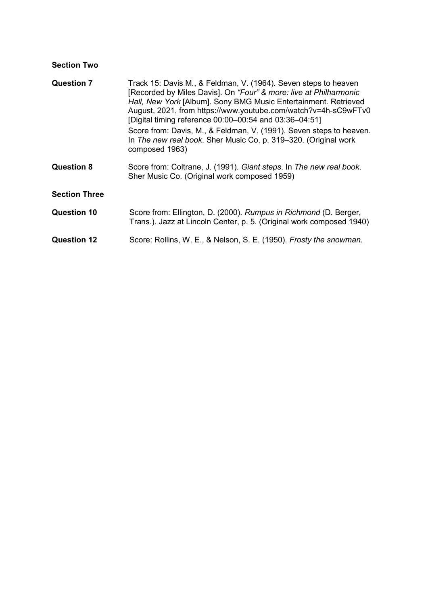# **Section Two**

| <b>Question 7</b>    | Track 15: Davis M., & Feldman, V. (1964). Seven steps to heaven<br>[Recorded by Miles Davis]. On "Four" & more: live at Philharmonic<br>Hall, New York [Album]. Sony BMG Music Entertainment. Retrieved<br>August, 2021, from https://www.youtube.com/watch?v=4h-sC9wFTv0<br>[Digital timing reference 00:00-00:54 and 03:36-04:51]<br>Score from: Davis, M., & Feldman, V. (1991). Seven steps to heaven.<br>In The new real book. Sher Music Co. p. 319–320. (Original work<br>composed 1963) |
|----------------------|-------------------------------------------------------------------------------------------------------------------------------------------------------------------------------------------------------------------------------------------------------------------------------------------------------------------------------------------------------------------------------------------------------------------------------------------------------------------------------------------------|
| <b>Question 8</b>    | Score from: Coltrane, J. (1991). Giant steps. In The new real book.<br>Sher Music Co. (Original work composed 1959)                                                                                                                                                                                                                                                                                                                                                                             |
| <b>Section Three</b> |                                                                                                                                                                                                                                                                                                                                                                                                                                                                                                 |
| <b>Question 10</b>   | Score from: Ellington, D. (2000). Rumpus in Richmond (D. Berger,<br>Trans.). Jazz at Lincoln Center, p. 5. (Original work composed 1940)                                                                                                                                                                                                                                                                                                                                                        |
| <b>Question 12</b>   | Score: Rollins, W. E., & Nelson, S. E. (1950). Frosty the snowman.                                                                                                                                                                                                                                                                                                                                                                                                                              |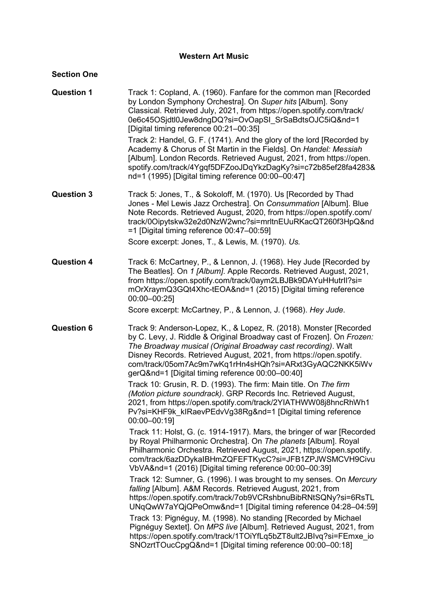### **Western Art Music**

### **Section One**

| <b>Question 1</b> | Track 1: Copland, A. (1960). Fanfare for the common man [Recorded<br>by London Symphony Orchestra]. On Super hits [Album]. Sony<br>Classical. Retrieved July, 2021, from https://open.spotify.com/track/<br>0e6c45OSjdtl0Jew8dngDQ?si=OvOapSI_SrSaBdtsOJC5iQ&nd=1<br>[Digital timing reference 00:21-00:35]                                                                                                                                                                                                                             |
|-------------------|-----------------------------------------------------------------------------------------------------------------------------------------------------------------------------------------------------------------------------------------------------------------------------------------------------------------------------------------------------------------------------------------------------------------------------------------------------------------------------------------------------------------------------------------|
|                   | Track 2: Handel, G. F. (1741). And the glory of the lord [Recorded by<br>Academy & Chorus of St Martin in the Fields]. On Handel: Messiah<br>[Album]. London Records. Retrieved August, 2021, from https://open.<br>spotify.com/track/4Ygqf5DFZooJDqYkzDagKy?si=c72b85ef28fa4283&<br>nd=1 (1995) [Digital timing reference 00:00-00:47]                                                                                                                                                                                                 |
| <b>Question 3</b> | Track 5: Jones, T., & Sokoloff, M. (1970). Us [Recorded by Thad<br>Jones - Mel Lewis Jazz Orchestra]. On Consummation [Album]. Blue<br>Note Records. Retrieved August, 2020, from https://open.spotify.com/<br>track/0Oipytskw32e2d0NzW2wnc?si=mrltnEUuRKacQT260f3HpQ&nd<br>=1 [Digital timing reference 00:47-00:59]                                                                                                                                                                                                                   |
|                   | Score excerpt: Jones, T., & Lewis, M. (1970). Us.                                                                                                                                                                                                                                                                                                                                                                                                                                                                                       |
| <b>Question 4</b> | Track 6: McCartney, P., & Lennon, J. (1968). Hey Jude [Recorded by<br>The Beatles]. On 1 [Album]. Apple Records. Retrieved August, 2021,<br>from https://open.spotify.com/track/0aym2LBJBk9DAYuHHutrll?si=<br>mOrXraymQ3GQt4Xhc-tEOA&nd=1 (2015) [Digital timing reference<br>$00:00 - 00:25$                                                                                                                                                                                                                                           |
|                   | Score excerpt: McCartney, P., & Lennon, J. (1968). Hey Jude.                                                                                                                                                                                                                                                                                                                                                                                                                                                                            |
| <b>Question 6</b> | Track 9: Anderson-Lopez, K., & Lopez, R. (2018). Monster [Recorded<br>by C. Levy, J. Riddle & Original Broadway cast of Frozen]. On Frozen:<br>The Broadway musical (Original Broadway cast recording). Walt<br>Disney Records. Retrieved August, 2021, from https://open.spotify.<br>com/track/05om7Ac9m7wKq1rHn4sHQh?si=ARxt3GyAQC2NKK5iWv<br>gerQ&nd=1 [Digital timing reference 00:00-00:40]<br>Track 10: Grusin, R. D. (1993). The firm: Main title. On The firm<br>(Motion picture soundrack). GRP Records Inc. Retrieved August, |
|                   | 2021, from https://open.spotify.com/track/2YIATHWW08j8hncRhWh1<br>Pv?si=KHF9k klRaevPEdvVg38Rg&nd=1 [Digital timing reference<br>00:00-00:19]                                                                                                                                                                                                                                                                                                                                                                                           |
|                   | Track 11: Holst, G. (c. 1914-1917). Mars, the bringer of war [Recorded<br>by Royal Philharmonic Orchestra]. On The planets [Album]. Royal<br>Philharmonic Orchestra. Retrieved August, 2021, https://open.spotify.<br>com/track/6azDDykaIBHmZQFEFTKycC?si=JFB1ZPJWSMCVH9Civu<br>VbVA&nd=1 (2016) [Digital timing reference 00:00-00:39]                                                                                                                                                                                                 |
|                   | Track 12: Sumner, G. (1996). I was brought to my senses. On Mercury<br>falling [Album]. A&M Records. Retrieved August, 2021, from<br>https://open.spotify.com/track/7ob9VCRshbnuBibRNtSQNy?si=6RsTL<br>UNqQwW7aYQjQPeOmw&nd=1 [Digital timing reference 04:28-04:59]                                                                                                                                                                                                                                                                    |
|                   | Track 13: Pignéguy, M. (1998). No standing [Recorded by Michael<br>Pignéguy Sextet]. On MPS live [Album]. Retrieved August, 2021, from<br>https://open.spotify.com/track/1TOiYfLq5bZT8ult2JBIvq?si=FEmxe io<br>SNOzrtTOucCpgQ&nd=1 [Digital timing reference 00:00-00:18]                                                                                                                                                                                                                                                               |